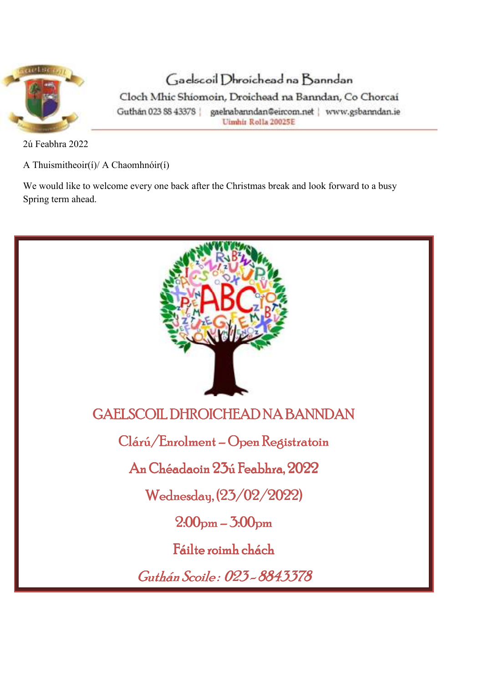

Gaelscoil Dhroichead na Banndan

Cloch Mhic Shiomoin, Droichead na Banndan, Co Chorcaí Guthán 023 SS 43378 | gaelnabanndan@eircom.net | www.gsbanndan.ie Ulmhir Rolla 20025E

2ú Feabhra 2022

A Thuismitheoir(í)/ A Chaomhnóir(í)

We would like to welcome every one back after the Christmas break and look forward to a busy Spring term ahead.

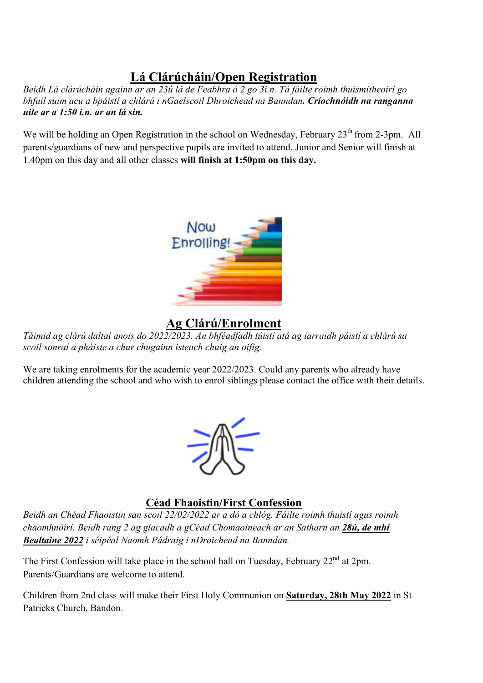# **Lá Clárúcháin/Open Registration**

*Beidh Lá clárúcháin againn ar an 23ú lá de Feabhra ó 2 go 3i.n. Tá fáilte roimh thuismitheoirí go bhfuil suim acu a bpáistí a chlárú i nGaelscoil Dhroichead na Banndan. Críochnóidh na ranganna uile ar a 1:50 i.n. ar an lá sin.* 

We will be holding an Open Registration in the school on Wednesday, February 23<sup>th</sup> from 2-3pm. All parents/guardians of new and perspective pupils are invited to attend. Junior and Senior will finish at 1.40pm on this day and all other classes **will finish at 1:50pm on this day.** 



# **Ag Clárú/Enrolment**

*Táimid ag clárú daltaí anois do 2022/2023. An bhféadfadh túistí atá ag iarraidh páistí a chlárú sa scoil sonraí a pháiste a chur chugainn isteach chuig an oifig.* 

We are taking enrolments for the academic year 2022/2023. Could any parents who already have children attending the school and who wish to enrol siblings please contact the office with their details.



#### **Céad Fhaoistin/First Confession**

*Beidh an Chéad Fhaoistin san scoil 22/02/2022 ar a dó a chlóg. Fáilte roimh thuistí agus roimh chaomhnóirí. Beidh rang 2 ag glacadh a gCéad Chomaoineach ar an Satharn an 28ú, de mhí Bealtaine 2022 i séipéal Naomh Pádraig i nDroichead na Banndan.*

The First Confession will take place in the school hall on Tuesday, February 22<sup>nd</sup> at 2pm. Parents/Guardians are welcome to attend.

Children from 2nd class will make their First Holy Communion on **Saturday, 28th May 2022** in St Patricks Church, Bandon.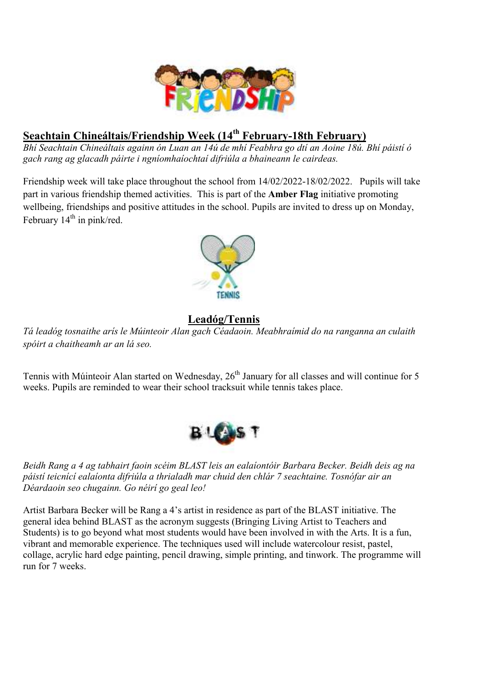

# **Seachtain Chineáltais/Friendship Week (14th February-18th February)**

*Bhí Seachtain Chineáltais againn ón Luan an 14ú de mhí Feabhra go dtí an Aoine 18ú. Bhí páistí ó gach rang ag glacadh páirte i ngníomhaíochtaí difriúla a bhaineann le cairdeas.* 

Friendship week will take place throughout the school from 14/02/2022-18/02/2022. Pupils will take part in various friendship themed activities. This is part of the **Amber Flag** initiative promoting wellbeing, friendships and positive attitudes in the school. Pupils are invited to dress up on Monday, February  $14<sup>th</sup>$  in pink/red.



# **Leadóg/Tennis**

*Tá leadóg tosnaithe arís le Múinteoir Alan gach Céadaoin. Meabhraímid do na ranganna an culaith spóirt a chaitheamh ar an lá seo.* 

Tennis with Múinteoir Alan started on Wednesday, 26<sup>th</sup> January for all classes and will continue for 5 weeks. Pupils are reminded to wear their school tracksuit while tennis takes place.



*Beidh Rang a 4 ag tabhairt faoin scéim BLAST leis an ealaíontóir Barbara Becker. Beidh deis ag na páistí teicnící ealaíonta difriúla a thrialadh mar chuid den chlár 7 seachtaine. Tosnófar air an Déardaoin seo chugainn. Go néirí go geal leo!*

Artist Barbara Becker will be Rang a 4's artist in residence as part of the BLAST initiative. The general idea behind BLAST as the acronym suggests (Bringing Living Artist to Teachers and Students) is to go beyond what most students would have been involved in with the Arts. It is a fun, vibrant and memorable experience. The techniques used will include watercolour resist, pastel, collage, acrylic hard edge painting, pencil drawing, simple printing, and tinwork. The programme will run for 7 weeks.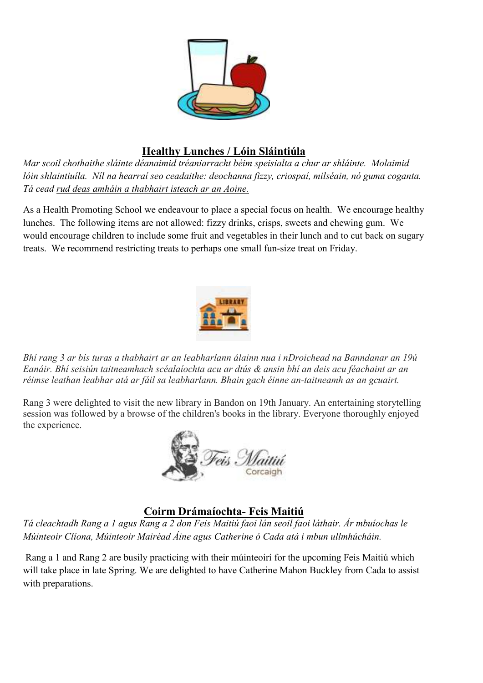

# **Healthy Lunches / Lóin Sláintiúla**

*Mar scoil chothaithe sláinte déanaimid tréaniarracht béim speisialta a chur ar shláinte. Molaimid lóin shlaintiuíla. Níl na hearraí seo ceadaithe: deochanna fizzy, criospaí, milséain, nó guma coganta. Tá cead rud deas amháin a thabhairt isteach ar an Aoine.* 

As a Health Promoting School we endeavour to place a special focus on health. We encourage healthy lunches. The following items are not allowed: fizzy drinks, crisps, sweets and chewing gum. We would encourage children to include some fruit and vegetables in their lunch and to cut back on sugary treats. We recommend restricting treats to perhaps one small fun-size treat on Friday.



*Bhí rang 3 ar bís turas a thabhairt ar an leabharlann álainn nua i nDroichead na Banndanar an 19ú Eanáir. Bhí seisiún taitneamhach scéalaíochta acu ar dtús & ansin bhí an deis acu féachaint ar an réimse leathan leabhar atá ar fáil sa leabharlann. Bhain gach éinne an-taitneamh as an gcuairt.*

Rang 3 were delighted to visit the new library in Bandon on 19th January. An entertaining storytelling session was followed by a browse of the children's books in the library. Everyone thoroughly enjoyed the experience.



### **Coirm Drámaíochta- Feis Maitiú**

*Tá cleachtadh Rang a 1 agus Rang a 2 don Feis Maitiú faoi lán seoil faoi láthair. Ár mbuíochas le Múinteoir Clíona, Múinteoir Mairéad Áine agus Catherine ó Cada atá i mbun ullmhúcháin.* 

 Rang a 1 and Rang 2 are busily practicing with their múinteoirí for the upcoming Feis Maitiú which will take place in late Spring. We are delighted to have Catherine Mahon Buckley from Cada to assist with preparations.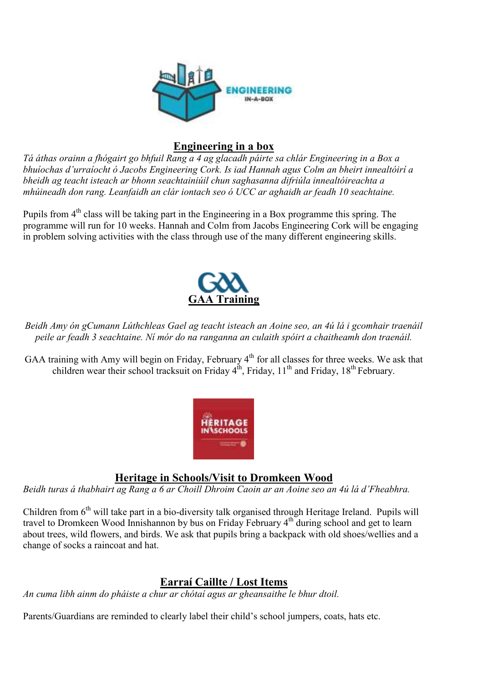

#### **Engineering in a box**

*Tá áthas orainn a fhógairt go bhfuil Rang a 4 ag glacadh páirte sa chlár Engineering in a Box a bhuíochas d'urraíocht ó Jacobs Engineering Cork. Is iad Hannah agus Colm an bheirt innealtóirí a bheidh ag teacht isteach ar bhonn seachtainiúil chun saghasanna difriúla innealtóireachta a mhúineadh don rang. Leanfaidh an clár iontach seo ó UCC ar aghaidh ar feadh 10 seachtaine.* 

Pupils from 4<sup>th</sup> class will be taking part in the Engineering in a Box programme this spring. The programme will run for 10 weeks. Hannah and Colm from Jacobs Engineering Cork will be engaging in problem solving activities with the class through use of the many different engineering skills.



*Beidh Amy ón gCumann Lúthchleas Gael ag teacht isteach an Aoine seo, an 4ú lá i gcomhair traenáil peile ar feadh 3 seachtaine. Ní mór do na ranganna an culaith spóirt a chaitheamh don traenáil.* 

GAA training with Amy will begin on Friday, February 4<sup>th</sup> for all classes for three weeks. We ask that children wear their school tracksuit on Friday  $4<sup>th</sup>$ , Friday,  $11<sup>th</sup>$  and Friday,  $18<sup>th</sup>$  February.



#### **Heritage in Schools/Visit to Dromkeen Wood**

*Beidh turas á thabhairt ag Rang a 6 ar Choill Dhroim Caoin ar an Aoine seo an 4ú lá d'Fheabhra.* 

Children from  $6<sup>th</sup>$  will take part in a bio-diversity talk organised through Heritage Ireland. Pupils will travel to Dromkeen Wood Innishannon by bus on Friday February 4<sup>th</sup> during school and get to learn about trees, wild flowers, and birds. We ask that pupils bring a backpack with old shoes/wellies and a change of socks a raincoat and hat.

### **Earraí Caillte / Lost Items**

*An cuma libh ainm do pháiste a chur ar chótaí agus ar gheansaithe le bhur dtoil.* 

Parents/Guardians are reminded to clearly label their child's school jumpers, coats, hats etc.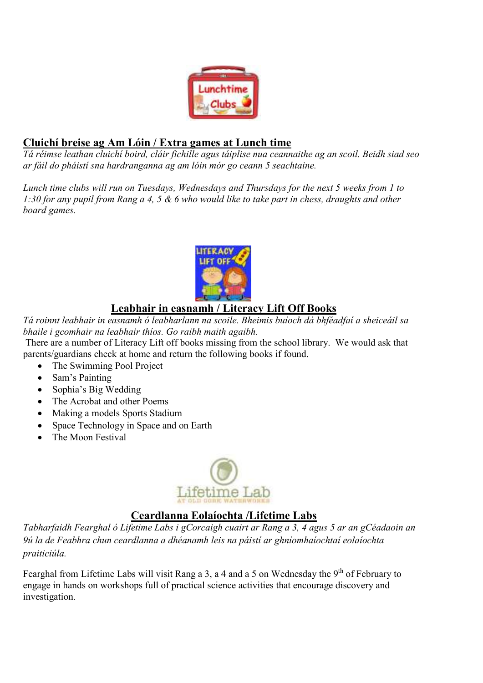

#### **Cluichí breise ag Am Lóin / Extra games at Lunch time**

*Tá réimse leathan cluichí boird, cláir fichille agus táiplise nua ceannaithe ag an scoil. Beidh siad seo ar fáil do pháistí sna hardranganna ag am lóin mór go ceann 5 seachtaine.* 

*Lunch time clubs will run on Tuesdays, Wednesdays and Thursdays for the next 5 weeks from 1 to 1:30 for any pupil from Rang a 4, 5 & 6 who would like to take part in chess, draughts and other board games.*



# **Leabhair in easnamh / Literacy Lift Off Books**

*Tá roinnt leabhair in easnamh ó leabharlann na scoile. Bheimis buíoch dá bhféadfaí a sheiceáil sa bhaile i gcomhair na leabhair thíos. Go raibh maith agaibh.* 

 There are a number of Literacy Lift off books missing from the school library. We would ask that parents/guardians check at home and return the following books if found.

- The Swimming Pool Project
- Sam's Painting
- Sophia's Big Wedding
- The Acrobat and other Poems
- Making a models Sports Stadium
- Space Technology in Space and on Earth
- The Moon Festival



# **Ceardlanna Eolaíochta /Lifetime Labs**

*Tabharfaidh Fearghal ó Lifetime Labs i gCorcaigh cuairt ar Rang a 3, 4 agus 5 ar an gCéadaoin an 9ú la de Feabhra chun ceardlanna a dhéanamh leis na páistí ar ghníomhaíochtaí eolaíochta praiticiúla.* 

Fearghal from Lifetime Labs will visit Rang a 3, a 4 and a 5 on Wednesday the  $9<sup>th</sup>$  of February to engage in hands on workshops full of practical science activities that encourage discovery and investigation.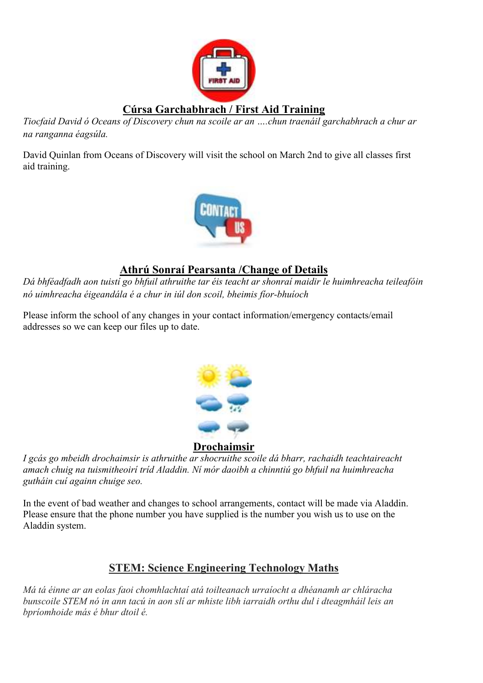

*Tiocfaid David ó Oceans of Discovery chun na scoile ar an ….chun traenáil garchabhrach a chur ar na ranganna éagsúla.* 

David Quinlan from Oceans of Discovery will visit the school on March 2nd to give all classes first aid training.



#### **Athrú Sonraí Pearsanta /Change of Details**

*Dá bhféadfadh aon tuistí go bhfuil athruithe tar éis teacht ar shonraí maidir le huimhreacha teileafóin nó uimhreacha éigeandála é a chur in iúl don scoil, bheimis fíor-bhuíoch* 

Please inform the school of any changes in your contact information/emergency contacts/email addresses so we can keep our files up to date.



#### **Drochaimsir**

*I gcás go mbeidh drochaimsir is athruithe ar shocruithe scoile dá bharr, rachaidh teachtaireacht amach chuig na tuismitheoirí tríd Aladdin. Ní mór daoibh a chinntiú go bhfuil na huimhreacha gutháin cuí againn chuige seo.* 

In the event of bad weather and changes to school arrangements, contact will be made via Aladdin. Please ensure that the phone number you have supplied is the number you wish us to use on the Aladdin system.

# **STEM: Science Engineering Technology Maths**

*Má tá éinne ar an eolas faoi chomhlachtaí atá toilteanach urraíocht a dhéanamh ar chláracha bunscoile STEM nó in ann tacú in aon slí ar mhiste libh iarraidh orthu dul i dteagmháil leis an bpríomhoide más é bhur dtoil é.*